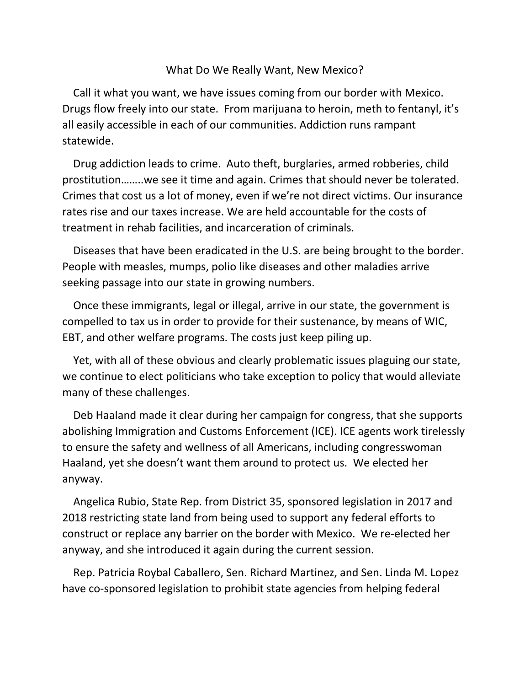## What Do We Really Want, New Mexico?

 Call it what you want, we have issues coming from our border with Mexico. Drugs flow freely into our state. From marijuana to heroin, meth to fentanyl, it's all easily accessible in each of our communities. Addiction runs rampant statewide.

 Drug addiction leads to crime. Auto theft, burglaries, armed robberies, child prostitution……..we see it time and again. Crimes that should never be tolerated. Crimes that cost us a lot of money, even if we're not direct victims. Our insurance rates rise and our taxes increase. We are held accountable for the costs of treatment in rehab facilities, and incarceration of criminals.

 Diseases that have been eradicated in the U.S. are being brought to the border. People with measles, mumps, polio like diseases and other maladies arrive seeking passage into our state in growing numbers.

 Once these immigrants, legal or illegal, arrive in our state, the government is compelled to tax us in order to provide for their sustenance, by means of WIC, EBT, and other welfare programs. The costs just keep piling up.

 Yet, with all of these obvious and clearly problematic issues plaguing our state, we continue to elect politicians who take exception to policy that would alleviate many of these challenges.

 Deb Haaland made it clear during her campaign for congress, that she supports abolishing Immigration and Customs Enforcement (ICE). ICE agents work tirelessly to ensure the safety and wellness of all Americans, including congresswoman Haaland, yet she doesn't want them around to protect us. We elected her anyway.

 Angelica Rubio, State Rep. from District 35, sponsored legislation in 2017 and 2018 restricting state land from being used to support any federal efforts to construct or replace any barrier on the border with Mexico. We re-elected her anyway, and she introduced it again during the current session.

 Rep. Patricia Roybal Caballero, Sen. Richard Martinez, and Sen. Linda M. Lopez have co-sponsored legislation to prohibit state agencies from helping federal